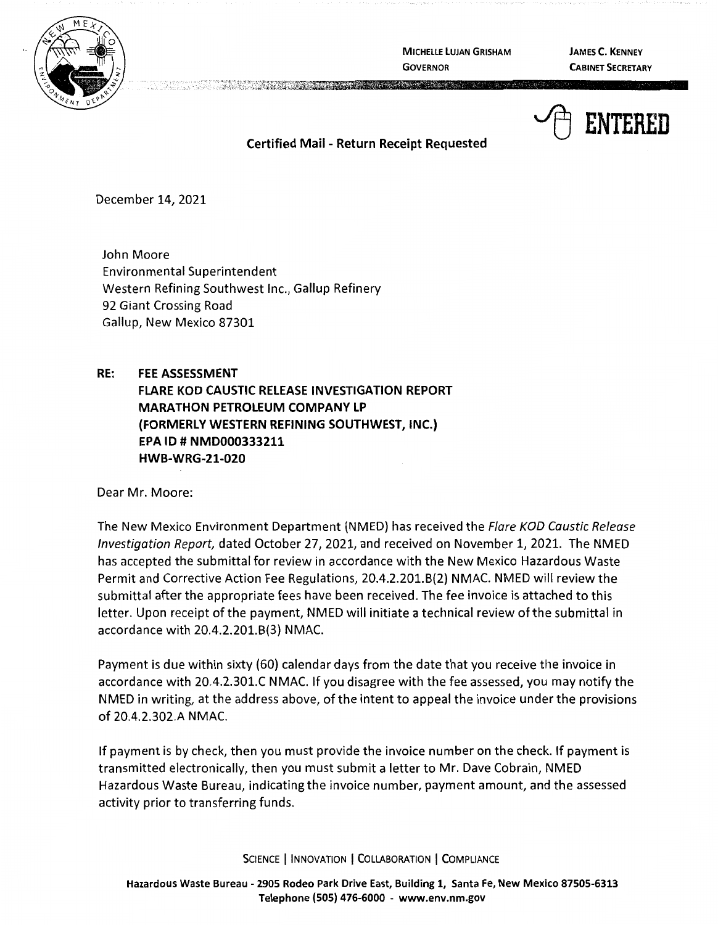

**MICHELLE LUJAN GRISHAM GOVERNOR** 

**JAMES C. KENNEY CABINET SECRETARY** 



**Certified Mail** - **Return Receipt Requested** 

December 14, 2021

John Moore Environmental Superintendent Western Refining Southwest Inc., Gallup Refinery 92 Giant Crossing Road Gallup, New Mexico 87301

## **RE: FEE ASSESSMENT**

**FLARE KOO CAUSTIC RELEASE INVESTIGATION REPORT MARATHON PETROLEUM COMPANY LP (FORMERLY WESTERN REFINING SOUTHWEST, INC.) EPA ID# NMD000333211 HWB-WRG-21-020** 

Dear Mr. Moore:

The New Mexico Environment Department (NMED) has received the Flare KOD Caustic Release Investigation Report, dated October 27, 2021, and received on November 1, 2021. The NMED has accepted the submittal for review in accordance with the New Mexico Hazardous Waste Permit and Corrective Action Fee Regulations, 20.4.2.201.8(2) NMAC. NMED will review the submittal after the appropriate fees have been received. The fee invoice is attached to this letter. Upon receipt of the payment, NMED will initiate a technical review of the submittal in accordance with 20.4.2.201.8(3) NMAC.

Payment is due within sixty {60) calendar days from the date that you receive the invoice in accordance with 20.4.2.301.C NMAC. If you disagree with the fee assessed, you may notify the NMED in writing, at the address above, of the intent to appeal the invoice under the provisions of 20.4.2.302.A NMAC.

If payment is by check, then you must provide the invoice number on the check. If payment is transmitted electronically, then you must submit a letter to Mr. Dave Cobrain, NMED Hazardous Waste Bureau, indicating the invoice number, payment amount, and the assessed activity prior to transferring funds.

SCIENCE | INNOVATION | COLLABORATION | COMPLIANCE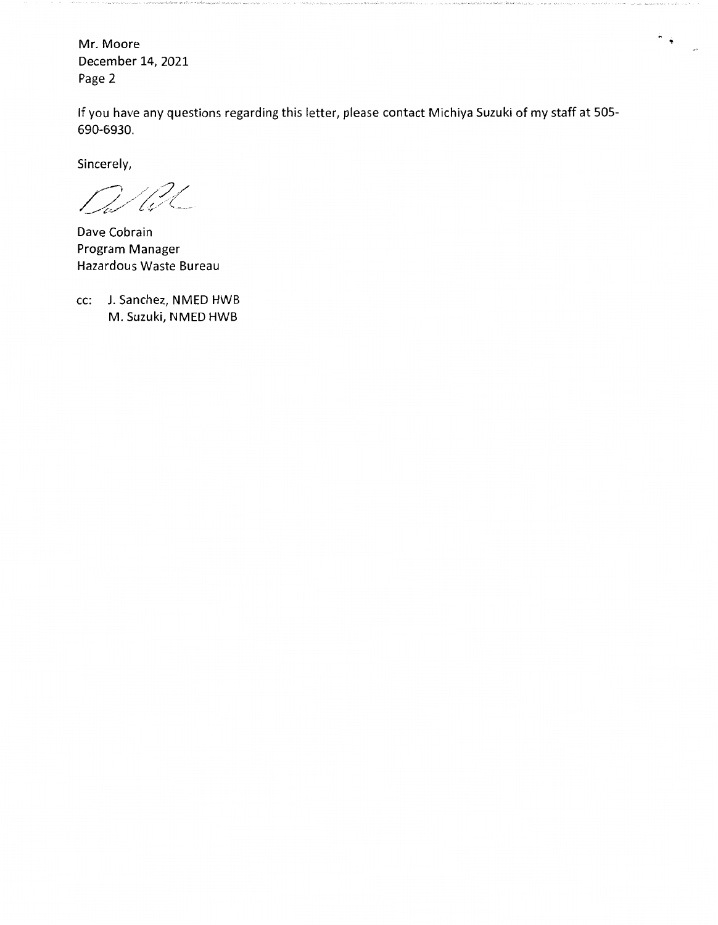Mr. Moore December 14, 2021 Page 2

If you have any questions regarding this letter, please contact Michiya Suzuki of my staff at 505- 690-6930.

 $\frac{1}{\sqrt{2}}\sum_{\substack{ \alpha \in \mathbb{Z}^d \\ \alpha \in \mathbb{Z}^d}} \left\vert \frac{\alpha}{\alpha} \right\vert \leq \frac{1}{\alpha^2}$ 

Sincerely,

U2C

Dave Cobrain Program Manager Hazardous Waste Bureau

cc: J. Sanchez, NMED HWB M. Suzuki, NMED HWB